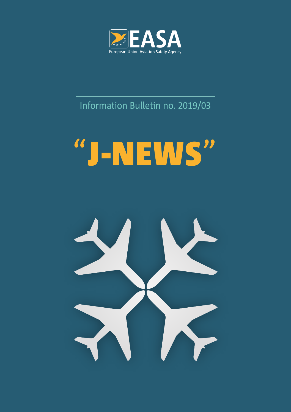

Information Bulletin no. 2019/03

# "J-NEWS"

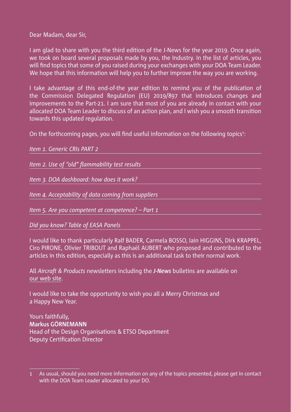Dear Madam, dear Sir,

I am glad to share with you the third edition of the J-News for the year 2019. Once again, we took on board several proposals made by you, the Industry. In the list of articles, you will find topics that some of you raised during your exchanges with your DOA Team Leader. We hope that this information will help you to further improve the way you are working.

I take advantage of this end-of-the year edition to remind you of the publication of the Commission Delegated Regulation (EU) 2019/897 that introduces changes and improvements to the Part-21. I am sure that most of you are already in contact with your allocated DOA Team Leader to discuss of an action plan, and I wish you a smooth transition towards this updated regulation.

On the forthcoming pages, you will find useful information on the following topics<sup>1</sup>:

| Item 1. Generic CRIs PART 2                         |
|-----------------------------------------------------|
|                                                     |
| Item 2. Use of "old" flammability test results      |
|                                                     |
| Item 3. DOA dashboard: how does it work?            |
|                                                     |
| Item 4. Acceptability of data coming from suppliers |
|                                                     |
| Item 5. Are you competent at competence? - Part 1   |
|                                                     |
| Did you know? Table of EASA Panels                  |
|                                                     |

I would like to thank particularly Ralf BADER, Carmela BOSSO, Iain HIGGINS, Dirk KRAPPEL, Ciro PIRONE, Olivier TRIBOUT and Raphaël AUBERT who proposed and contributed to the articles in this edition, especially as this is an additional task to their normal work.

All *Aircraft & Products* newsletters including the *J-News* bulletins are available on [our web site.](https://www.easa.europa.eu/newsroom-and-events/news?search=&date_filter%5Bmin%5D%5Bdate%5D=&date_filter%5Bmax%5D%5Bdate%5D=&news_cat%5B%5D=2497)

I would like to take the opportunity to wish you all a Merry Christmas and a Happy New Year.

Yours faithfully, **Markus GÖRNEMANN** Head of the Design Organisations & ETSO Department Deputy Certification Director

<sup>1</sup> As usual, should you need more information on any of the topics presented, please get in contact with the DOA Team Leader allocated to your DO.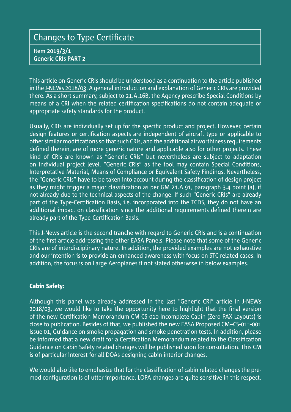## <span id="page-2-0"></span>Changes to Type Certificate

**Item 2019/3/1 Generic CRIs PART 2**

This article on Generic CRIs should be understood as a continuation to the article published in the [J-NEWs 2018/03.](https://www.easa.europa.eu/sites/default/files/dfu/EASA_J-News_December_2018.pdf) A general introduction and explanation of Generic CRIs are provided there. As a short summary, subject to 21.A.16B, the Agency prescribe Special Conditions by means of a CRI when the related certification specifications do not contain adequate or appropriate safety standards for the product.

Usually, CRIs are individually set up for the specific product and project. However, certain design features or certification aspects are independent of aircraft type or applicable to other similar modifications so that such CRIs, and the additional airworthiness requirements defined therein, are of more generic nature and applicable also for other projects. These kind of CRIs are known as "Generic CRIs" but nevertheless are subject to adaptation on individual project level. "Generic CRIs" as the tool may contain Special Conditions, Interpretative Material, Means of Compliance or Equivalent Safety Findings. Nevertheless, the "Generic CRIs" have to be taken into account during the classification of design project as they might trigger a major classification as per GM 21.A.91, paragraph 3.4 point (a), if not already due to the technical aspects of the change. If such "Generic CRIs" are already part of the Type-Certification Basis, i.e. incorporated into the TCDS, they do not have an additional impact on classification since the additional requirements defined therein are already part of the Type-Certification Basis.

This J-News article is the second tranche with regard to Generic CRIs and is a continuation of the first article addressing the other EASA Panels. Please note that some of the Generic CRIs are of interdisciplinary nature. In addition, the provided examples are not exhaustive and our intention is to provide an enhanced awareness with focus on STC related cases. In addition, the focus is on Large Aeroplanes if not stated otherwise in below examples.

#### Cabin Safety:

Although this panel was already addressed in the last "Generic CRI" article in J-NEWs 2018/03, we would like to take the opportunity here to highlight that the final version of the new Certification Memorandum CM-CS-010 Incomplete Cabin (Zero-PAX Layouts) is close to publication. Besides of that, we published the new EASA Proposed CM–CS-011-001 Issue 01, Guidance on smoke propagation and smoke penetration tests. In addition, please be informed that a new draft for a Certification Memorandum related to the Classification Guidance on Cabin Safety related changes will be published soon for consultation. This CM is of particular interest for all DOAs designing cabin interior changes.

We would also like to emphasize that for the classification of cabin related changes the premod configuration is of utter importance. LOPA changes are quite sensitive in this respect.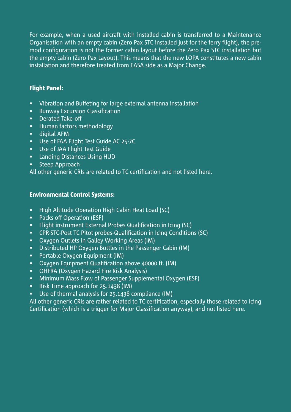For example, when a used aircraft with installed cabin is transferred to a Maintenance Organisation with an empty cabin (Zero Pax STC installed just for the ferry flight), the premod configuration is not the former cabin layout before the Zero Pax STC installation but the empty cabin (Zero Pax Layout). This means that the new LOPA constitutes a new cabin installation and therefore treated from EASA side as a Major Change.

#### Flight Panel:

- Vibration and Buffeting for large external antenna installation
- Runway Excursion Classification
- Derated Take-off
- Human factors methodology
- digital AFM
- Use of FAA Flight Test Guide AC 25-7C
- Use of JAA Flight Test Guide
- Landing Distances Using HUD
- Steep Approach

All other generic CRIs are related to TC certification and not listed here.

#### Environmental Control Systems:

- High Altitude Operation High Cabin Heat Load (SC)
- Packs off Operation (ESF)
- Flight instrument External Probes Qualification in Icing (SC)
- CPR-STC-Post TC Pitot probes-Qualification in Icing Conditions (SC)
- Oxygen Outlets in Galley Working Areas (IM)
- Distributed HP Oxygen Bottles in the Passenger Cabin (IM)
- Portable Oxygen Equipment (IM)
- Oxygen Equipment Qualification above 40000 ft. (IM)
- OHFRA (Oxygen Hazard Fire Risk Analysis)
- Minimum Mass Flow of Passenger Supplemental Oxygen (ESF)
- Risk Time approach for 25.1438 (IM)
- Use of thermal analysis for 25.1438 compliance (IM)

All other generic CRIs are rather related to TC certification, especially those related to Icing Certification (which is a trigger for Major Classification anyway), and not listed here.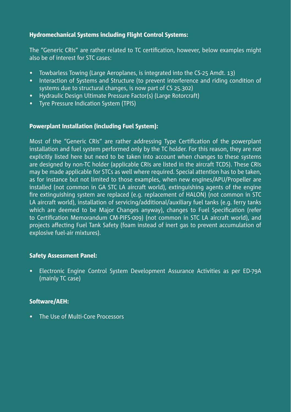#### Hydromechanical Systems including Flight Control Systems:

The "Generic CRIs" are rather related to TC certification, however, below examples might also be of interest for STC cases:

- Towbarless Towing (Large Aeroplanes, is integrated into the CS-25 Amdt. 13)
- Interaction of Systems and Structure (to prevent interference and riding condition of systems due to structural changes, is now part of CS 25.302)
- Hydraulic Design Ultimate Pressure Factor(s) (Large Rotorcraft)
- Tyre Pressure Indication System (TPIS)

#### Powerplant Installation (including Fuel System):

Most of the "Generic CRIs" are rather addressing Type Certification of the powerplant installation and fuel system performed only by the TC holder. For this reason, they are not explicitly listed here but need to be taken into account when changes to these systems are designed by non-TC holder (applicable CRIs are listed in the aircraft TCDS). These CRIs may be made applicable for STCs as well where required. Special attention has to be taken, as for instance but not limited to those examples, when new engines/APU/Propeller are installed (not common in GA STC LA aircraft world), extinguishing agents of the engine fire extinguishing system are replaced (e.g. replacement of HALON) (not common in STC LA aircraft world), installation of servicing/additional/auxiliary fuel tanks (e.g. ferry tanks which are deemed to be Major Changes anyway), changes to Fuel Specification (refer to Certification Memorandum CM-PIFS-009) (not common in STC LA aircraft world), and projects affecting Fuel Tank Safety (foam instead of inert gas to prevent accumulation of explosive fuel-air mixtures).

#### Safety Assessment Panel:

• Electronic Engine Control System Development Assurance Activities as per ED-79A (mainly TC case)

#### Software/AEH:

• The Use of Multi-Core Processors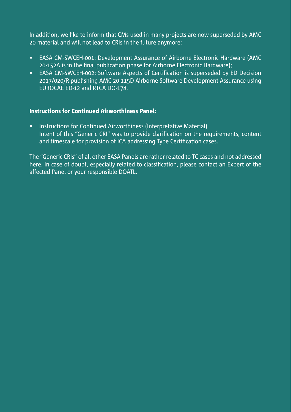In addition, we like to inform that CMs used in many projects are now superseded by AMC 20 material and will not lead to CRIs in the future anymore:

- EASA CM-SWCEH-001: Development Assurance of Airborne Electronic Hardware (AMC 20-152A is in the final publication phase for Airborne Electronic Hardware);
- EASA CM-SWCEH-002: Software Aspects of Certification is superseded by ED Decision 2017/020/R publishing AMC 20-115D Airborne Software Development Assurance using EUROCAE ED-12 and RTCA DO-178.

#### Instructions for Continued Airworthiness Panel:

• Instructions for Continued Airworthiness (Interpretative Material) Intent of this "Generic CRI" was to provide clarification on the requirements, content and timescale for provision of ICA addressing Type Certification cases.

The "Generic CRIs" of all other EASA Panels are rather related to TC cases and not addressed here. In case of doubt, especially related to classification, please contact an Expert of the affected Panel or your responsible DOATL.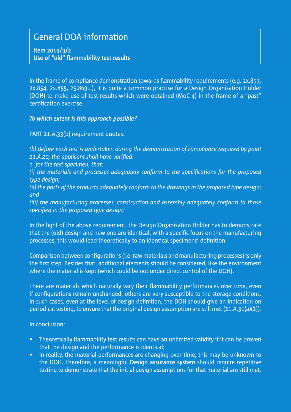## <span id="page-6-0"></span>General DOA information

**Item 2019/3/2 Use of "old" flammability test results**

In the frame of compliance demonstration towards flammability requirements (e.g. 2x.853, 2x.854, 2x.855, 25.869…), it is quite a common practise for a Design Organisation Holder (DOH) to make use of test results which were obtained (MoC 4) in the frame of a "past" certification exercise.

*To which extent is this approach possible?*

PART 21.A.33(b) requirement quotes:

*(b) Before each test is undertaken during the demonstration of compliance required by point 21.A.20, the applicant shall have verified: 1. for the test specimen, that: (i) the materials and processes adequately conform to the specifications for the proposed type design; (ii) the parts of the products adequately conform to the drawings in the proposed type design; and (iii) the manufacturing processes, construction and assembly adequately conform to those specified in the proposed type design;*

In the light of the above requirement, the Design Organisation Holder has to demonstrate that the (old) design and new one are identical, with a specific focus on the manufacturing processes; this would lead theoretically to an identical specimens' definition.

Comparison between configurations (i.e. raw materials and manufacturing processes) is only the first step. Besides that, additional elements should be considered, like the environment where the material is kept (which could be not under direct control of the DOH).

There are materials which naturally vary their flammability performances over time, even if configurations remain unchanged; others are very susceptible to the storage conditions. In such cases, even at the level of design definition, the DOH should give an indication on periodical testing, to ensure that the original design assumption are still met (21.A.31(a)(2)).

In conclusion:

- Theoretically flammability test results can have an unlimited validity if it can be proven that the design and the performance is identical;
- In reality, the material performances are changing over time, this may be unknown to the DOH. Therefore, a meaningful **Design assurance system** should require repetitive testing to demonstrate that the initial design assumptions for that material are still met.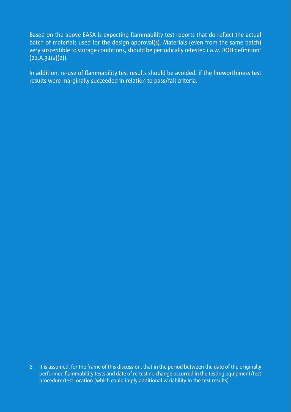Based on the above EASA is expecting flammability test reports that do reflect the actual batch of materials used for the design approval(s). Materials (even from the same batch) very susceptible to storage conditions, should be periodically retested i.a.w. DOH definition<sup>2</sup> (21.A.31(a)(2)).

In addition, re-use of flammability test results should be avoided, if the fireworthiness test results were marginally succeeded in relation to pass/fail criteria.

<sup>2</sup> It is assumed, for the frame of this discussion, that in the period between the date of the originally performed flammability tests and date of re-test no change occurred in the testing equipment/test procedure/test location (which could imply additional variability in the test results).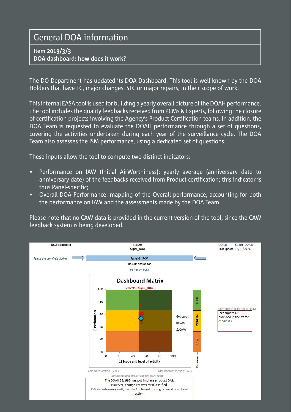# <span id="page-8-0"></span>General DOA information

#### **Item 2019/3/3 DOA dashboard: how does it work?**

The DO Department has updated its DOA Dashboard. This tool is well-known by the DOA Holders that have TC, major changes, STC or major repairs, in their scope of work.

This internal EASA tool is used for building a yearly overall picture of the DOAH performance. The tool includes the quality feedbacks received from PCMs & Experts, following the closure of certification projects involving the Agency's Product Certification teams. In addition, the DOA Team is requested to evaluate the DOAH performance through a set of questions, covering the activities undertaken during each year of the surveillance cycle. The DOA Team also assesses the ISM performance, using a dedicated set of questions.

These inputs allow the tool to compute two distinct indicators:

- Performance on IAW (Initial AirWorthiness): yearly average (anniversary date to anniversary date) of the feedbacks received from Product certification; this indicator is thus Panel-specific;
- Overall DOA Performance: mapping of the Overall performance, accounting for both the performance on IAW and the assessments made by the DOA Team.

Please note that no CAW data is provided in the current version of the tool, since the CAW feedback system is being developed.

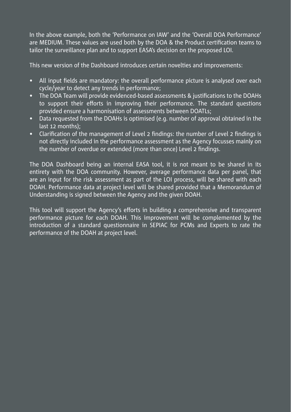In the above example, both the 'Performance on IAW' and the 'Overall DOA Performance' are MEDIUM. These values are used both by the DOA & the Product certification teams to tailor the surveillance plan and to support EASA's decision on the proposed LOI.

This new version of the Dashboard introduces certain novelties and improvements:

- All input fields are mandatory: the overall performance picture is analysed over each cycle/year to detect any trends in performance;
- The DOA Team will provide evidenced-based assessments & justifications to the DOAHs to support their efforts in improving their performance. The standard questions provided ensure a harmonisation of assessments between DOATLs;
- Data requested from the DOAHs is optimised (e.g. number of approval obtained in the last 12 months);
- Clarification of the management of Level 2 findings: the number of Level 2 findings is not directly included in the performance assessment as the Agency focusses mainly on the number of overdue or extended (more than once) Level 2 findings.

The DOA Dashboard being an internal EASA tool, it is not meant to be shared in its entirety with the DOA community. However, average performance data per panel, that are an input for the risk assessment as part of the LOI process, will be shared with each DOAH. Performance data at project level will be shared provided that a Memorandum of Understanding is signed between the Agency and the given DOAH.

This tool will support the Agency's efforts in building a comprehensive and transparent performance picture for each DOAH. This improvement will be complemented by the introduction of a standard questionnaire in SEPIAC for PCMs and Experts to rate the performance of the DOAH at project level.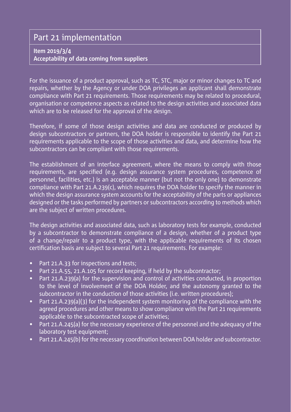## <span id="page-10-0"></span>Part 21 implementation

#### **Item 2019/3/4 Acceptability of data coming from suppliers**

For the issuance of a product approval, such as TC, STC, major or minor changes to TC and repairs, whether by the Agency or under DOA privileges an applicant shall demonstrate compliance with Part 21 requirements. Those requirements may be related to procedural, organisation or competence aspects as related to the design activities and associated data which are to be released for the approval of the design.

Therefore, if some of those design activities and data are conducted or produced by design subcontractors or partners, the DOA holder is responsible to identify the Part 21 requirements applicable to the scope of those activities and data, and determine how the subcontractors can be compliant with those requirements.

The establishment of an interface agreement, where the means to comply with those requirements, are specified (e.g. design assurance system procedures, competence of personnel, facilities, etc.) is an acceptable manner (but not the only one) to demonstrate compliance with Part 21.A.239(c), which requires the DOA holder to specify the manner in which the design assurance system accounts for the acceptability of the parts or appliances designed or the tasks performed by partners or subcontractors according to methods which are the subject of written procedures.

The design activities and associated data, such as laboratory tests for example, conducted by a subcontractor to demonstrate compliance of a design, whether of a product type of a change/repair to a product type, with the applicable requirements of its chosen certification basis are subject to several Part 21 requirements. For example:

- Part 21.A.33 for inspections and tests:
- Part 21.A.55, 21.A.105 for record keeping, if held by the subcontractor;
- Part 21.A.239(a) for the supervision and control of activities conducted, in proportion to the level of involvement of the DOA Holder, and the autonomy granted to the subcontractor in the conduction of those activities (i.e. written procedures);
- Part 21.A.239(a)(3) for the independent system monitoring of the compliance with the agreed procedures and other means to show compliance with the Part 21 requirements applicable to the subcontracted scope of activities;
- Part 21.A.245(a) for the necessary experience of the personnel and the adequacy of the laboratory test equipment;
- Part 21.A.245(b) for the necessary coordination between DOA holder and subcontractor.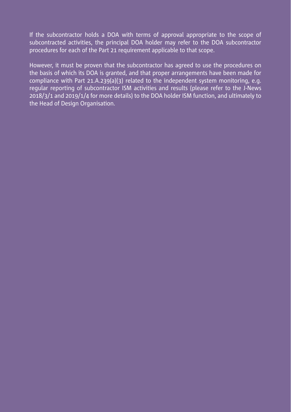If the subcontractor holds a DOA with terms of approval appropriate to the scope of subcontracted activities, the principal DOA holder may refer to the DOA subcontractor procedures for each of the Part 21 requirement applicable to that scope.

However, it must be proven that the subcontractor has agreed to use the procedures on the basis of which its DOA is granted, and that proper arrangements have been made for compliance with Part 21.A.239(a)(3) related to the independent system monitoring, e.g. regular reporting of subcontractor ISM activities and results (please refer to the J-News 2018/3/1 and 2019/1/4 for more details) to the DOA holder ISM function, and ultimately to the Head of Design Organisation.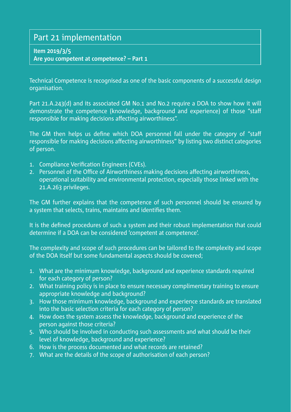## <span id="page-12-0"></span>Part 21 implementation

#### **Item 2019/3/5**

**Are you competent at competence? – Part 1**

Technical Competence is recognised as one of the basic components of a successful design organisation.

Part 21.A.243(d) and its associated GM No.1 and No.2 require a DOA to show how it will demonstrate the competence (knowledge, background and experience) of those "staff responsible for making decisions affecting airworthiness".

The GM then helps us define which DOA personnel fall under the category of "staff responsible for making decisions affecting airworthiness" by listing two distinct categories of person.

- 1. Compliance Verification Engineers (CVEs).
- 2. Personnel of the Office of Airworthiness making decisions affecting airworthiness, operational suitability and environmental protection, especially those linked with the 21.A.263 privileges.

The GM further explains that the competence of such personnel should be ensured by a system that selects, trains, maintains and identifies them.

It is the defined procedures of such a system and their robust implementation that could determine if a DOA can be considered 'competent at competence'.

The complexity and scope of such procedures can be tailored to the complexity and scope of the DOA itself but some fundamental aspects should be covered;

- 1. What are the minimum knowledge, background and experience standards required for each category of person?
- 2. What training policy is in place to ensure necessary complimentary training to ensure appropriate knowledge and background?
- 3. How those minimum knowledge, background and experience standards are translated into the basic selection criteria for each category of person?
- 4. How does the system assess the knowledge, background and experience of the person against those criteria?
- 5. Who should be involved in conducting such assessments and what should be their level of knowledge, background and experience?
- 6. How is the process documented and what records are retained?
- 7. What are the details of the scope of authorisation of each person?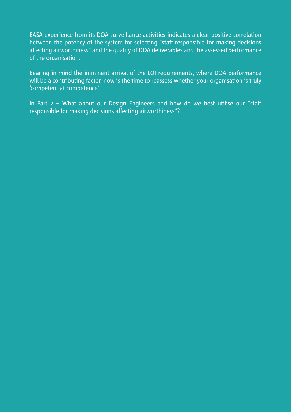EASA experience from its DOA surveillance activities indicates a clear positive correlation between the potency of the system for selecting "staff responsible for making decisions affecting airworthiness" and the quality of DOA deliverables and the assessed performance of the organisation.

Bearing in mind the imminent arrival of the LOI requirements, where DOA performance will be a contributing factor, now is the time to reassess whether your organisation is truly 'competent at competence'.

In Part 2 – What about our Design Engineers and how do we best utilise our "staff responsible for making decisions affecting airworthiness"?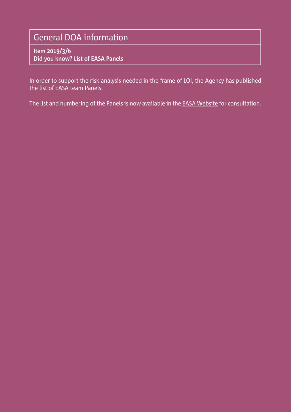# <span id="page-14-0"></span>General DOA information

**Item 2019/3/6 Did you know? List of EASA Panels**

In order to support the risk analysis needed in the frame of LOI, the Agency has published the list of EASA team Panels.

The list and numbering of the Panels is now available in the [EASA Website](https://www.easa.europa.eu/sites/default/files/dfu/CT Panels final.pdf) for consultation.